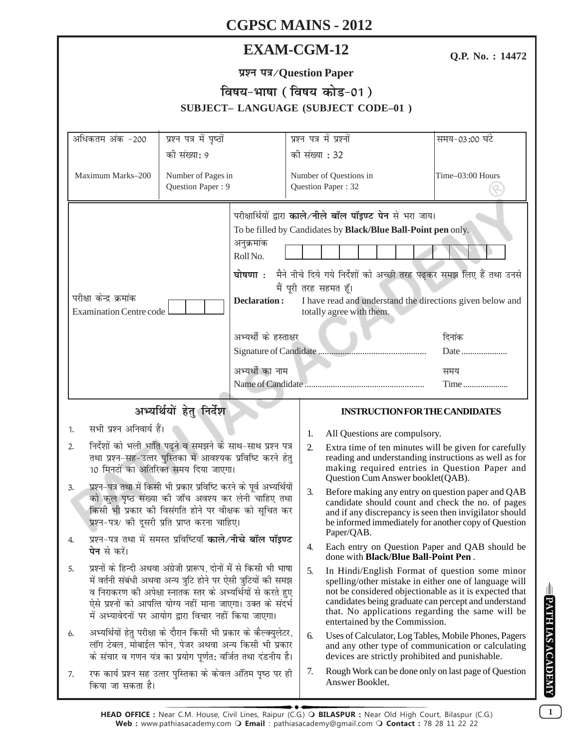|                                                                                                                                                                                                                                                                                                                                      | <b>EXAM-CGM-12</b>                       |                                                                                                                                                                                                                                                                                                                        |                                                                                                                                                                                                                                                                                                                 | Q.P. No.: 14472       |  |  |  |
|--------------------------------------------------------------------------------------------------------------------------------------------------------------------------------------------------------------------------------------------------------------------------------------------------------------------------------------|------------------------------------------|------------------------------------------------------------------------------------------------------------------------------------------------------------------------------------------------------------------------------------------------------------------------------------------------------------------------|-----------------------------------------------------------------------------------------------------------------------------------------------------------------------------------------------------------------------------------------------------------------------------------------------------------------|-----------------------|--|--|--|
|                                                                                                                                                                                                                                                                                                                                      |                                          |                                                                                                                                                                                                                                                                                                                        |                                                                                                                                                                                                                                                                                                                 |                       |  |  |  |
| विषय-भाषा (विषय कोड-01)<br>SUBJECT-LANGUAGE (SUBJECT CODE-01)                                                                                                                                                                                                                                                                        |                                          |                                                                                                                                                                                                                                                                                                                        |                                                                                                                                                                                                                                                                                                                 |                       |  |  |  |
| प्रश्न पत्र में पृष्ठों<br>अधिकतम अंक -200<br>की संख्या: 9                                                                                                                                                                                                                                                                           |                                          | प्रश्न पत्र में प्रश्नों<br>की संख्या : 32                                                                                                                                                                                                                                                                             |                                                                                                                                                                                                                                                                                                                 | समय-03:00 घंटे        |  |  |  |
| Maximum Marks-200                                                                                                                                                                                                                                                                                                                    | Number of Pages in<br>Question Paper: 9  |                                                                                                                                                                                                                                                                                                                        | Number of Questions in<br>Question Paper: 32                                                                                                                                                                                                                                                                    | Time-03:00 Hours      |  |  |  |
| अनुक्रमांक<br>Roll No.<br>घोषणा ः<br>परीक्षा केन्द्र क्रमांक<br>Declaration:<br><b>Examination Centre code</b>                                                                                                                                                                                                                       |                                          | परीक्षार्थियों द्वारा काले/नीले बॉल पॉइण्ट पेन से भरा जाय।<br>To be filled by Candidates by Black/Blue Ball-Point pen only.<br>मैने नीचे दिये गये निर्देशों को अच्छी तरह पढ़कर समझ लिए हैं तथा उनसे<br>मैं पूरी तरह सहमत हूँ।<br>I have read and understand the directions given below and<br>totally agree with them. |                                                                                                                                                                                                                                                                                                                 |                       |  |  |  |
|                                                                                                                                                                                                                                                                                                                                      | अभ्यर्थी के हस्ताक्षर<br>अभ्यर्थी का नाम |                                                                                                                                                                                                                                                                                                                        |                                                                                                                                                                                                                                                                                                                 | दिनांक<br>Date<br>समय |  |  |  |
| अभ्यर्थियों हेतु निर्देश                                                                                                                                                                                                                                                                                                             |                                          |                                                                                                                                                                                                                                                                                                                        | <b>INSTRUCTION FOR THE CANDIDATES</b>                                                                                                                                                                                                                                                                           |                       |  |  |  |
| सभी प्रश्न अनिवार्य हैं।<br>1.                                                                                                                                                                                                                                                                                                       |                                          | 1.                                                                                                                                                                                                                                                                                                                     | All Questions are compulsory.                                                                                                                                                                                                                                                                                   |                       |  |  |  |
| निर्देशों को भली भांति पढ़ने व समझने के साथ-साथ प्रश्न पत्र<br>2.<br>तथा प्रश्न-सह-उत्तर पुस्तिका में आवश्यक प्रविष्टि करने हेतु<br>10 मिनटों का अतिरिक्त समय दिया जाएगा।                                                                                                                                                            |                                          | 2.                                                                                                                                                                                                                                                                                                                     | Extra time of ten minutes will be given for carefully<br>reading and understanding instructions as well as for<br>making required entries in Question Paper and<br>Question Cum Answer booklet (QAB).                                                                                                           |                       |  |  |  |
| प्रश्न–पत्र तथा में किसी भी प्रकार प्रविष्टि करने के पूर्व अभ्यर्थियों<br>3.<br>को कुल पृष्ठ संख्या की जाँच अवश्य कर लेनी चाहिए तथा<br>किसी भी प्रकार की विसंगति होने पर वीक्षक को सूचित कर<br>प्रश्न-पत्र/ को दूसरी प्रति प्राप्त करना चाहिए।                                                                                       |                                          | 3.                                                                                                                                                                                                                                                                                                                     | Before making any entry on question paper and QAB<br>candidate should count and check the no. of pages<br>and if any discrepancy is seen then invigilator should<br>be informed immediately for another copy of Question                                                                                        |                       |  |  |  |
| प्रश्न-पत्र तथा में समस्त प्रविष्टियाँ <b>काले⁄नीचे बॉल पॉइण्ट</b><br>4.<br><b>पेन</b> से करें।                                                                                                                                                                                                                                      |                                          | 4.                                                                                                                                                                                                                                                                                                                     | Paper/QAB.<br>Each entry on Question Paper and QAB should be<br>done with <b>Black/Blue Ball-Point Pen</b> .                                                                                                                                                                                                    |                       |  |  |  |
| प्रश्नों के हिन्दी अथवा अंग्रेजी प्रारूप, दोनों में से किसी भी भाषा<br>5.<br>में वर्तनी संबंधी अथवा अन्य त्रुटि होने पर ऐसी त्रुटियों की समझ<br>व निराकरण की अपेक्षा स्नातक स्तर के अभ्यर्थियों से करते हुए<br>ऐसे प्रश्नों को आपत्ति योग्य नहीं माना जाएगा। उक्त के संदर्भ<br>में अभ्यावेदनों पर आयोग द्वारा विचार नहीं किया जाएगा। |                                          | 5.                                                                                                                                                                                                                                                                                                                     | In Hindi/English Format of question some minor<br>spelling/other mistake in either one of language will<br>not be considered objectionable as it is expected that<br>candidates being graduate can percept and understand<br>that. No applications regarding the same will be<br>entertained by the Commission. |                       |  |  |  |
| अभ्यर्थियों हेतु परीक्षा के दौरान किसी भी प्रकार के कैल्क्युलेटर,<br>6.<br>लॉग टेबल, मोबाईल फोन, पेजर अथवा अन्य किसी भी प्रकार<br>के संचार व गणन यंत्र का प्रयोग पूर्णत: वर्जित तथा दंडनीय है।                                                                                                                                       |                                          |                                                                                                                                                                                                                                                                                                                        | Uses of Calculator, Log Tables, Mobile Phones, Pagers<br>and any other type of communication or calculating<br>devices are strictly prohibited and punishable.                                                                                                                                                  |                       |  |  |  |
| रफ कार्य प्रश्न सह उत्तर पुस्तिका के केवल ऑतम पृष्ठ पर ही<br>7.<br>किया जा सकता है।                                                                                                                                                                                                                                                  |                                          | 7.                                                                                                                                                                                                                                                                                                                     | Rough Work can be done only on last page of Question<br>Answer Booklet.                                                                                                                                                                                                                                         |                       |  |  |  |

 $\boxed{1}$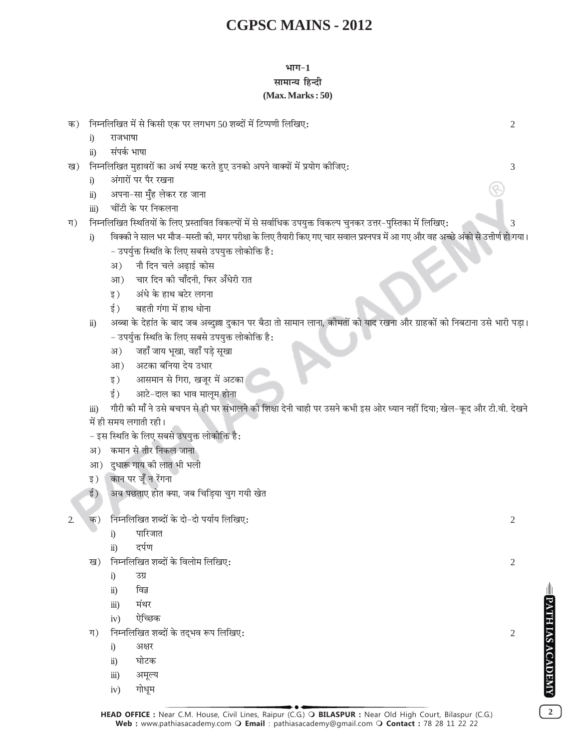### $4\pi - 1$ सामान्य हिन्दी  $(Max. Marks:50)$

HEAD OFFICE : Near C.M. House, Civil Lines, Raipur (C.G.) O BILASPUR : Near Old High Court, Bilaspur (C.G.) Web: www.pathiasacademy.com O Email: pathiasacademy@gmail.com O Contact: 78 28 11 22 22

3

 $\overline{\mathcal{E}}$ 

 $\overline{2}$ 

निम्नलिखित मुहावरों का अर्थ स्पष्ट करते हुए उनको अपने वाक्यों में प्रयोग कीजिए: ख)

क) निम्नलिखित में से किसी एक पर लगभग 50 शब्दों में टिप्पणी लिखिए:

अंगारों पर पैर रखना  $i)$ 

राजभाषा संपर्क भाषा

 $\ddot{1}$ 

 $\ddot{u}$ )

- अपना-सा मँह लेकर रह जाना  $\ddot{u}$ )
- चींटी के पर निकलना  $\dddot{\mathbf{m}}$ )
- निम्नलिखित स्थितियों के लिए प्रस्तावित विकल्पों में से सर्वाधिक उपयुक्त विकल्प चुनकर उत्तर-पुस्तिका में लिखिए: ग)
	- विक्की ने साल भर मौज–मस्ती की. मगर परीक्षा के लिए तैयारी किए गए चार सवाल प्रश्नपत्र में आ गए और वह अच्छे अंको से उत्तीर्ण हो गया।  $\ddot{1}$ - उपर्युक्त स्थिति के लिए सबसे उपयुक्त लोकोक्ति है:
		- नौ दिन चले अढ़ाई कोस अ)
		- चार दिन की चाँदनी, फिर अँधेरी रात आ)
		- अंधे के हाथ बटेर लगना इ )
		- बहती गंगा में हाथ धोना ई )
	- अब्बा के देहांत के बाद जब अब्दुल्ला दुकान पर बैठा तो सामान लाना, कीमतों को याद रखना और ग्राहकों को निबटाना उसे भारी पड़ा।  $\ddot{\mathbf{n}}$ ) - उपर्युक्त स्थिति के लिए सबसे उपयुक्त लोकोक्ति है:
		- जहाँ जाय भुखा, वहाँ पडे सुखा अ)
		- अटका बनिया देय उधार आ)
		- आसमान से गिरा, खजूर में अटका इ )
		- आटे-दाल का भाव मालूम होना ई )
	- गौरी की माँ ने उसे बचपन से ही घर संभालने की शिक्षा देनी चाही पर उसने कभी इस ओर ध्यान नहीं दिया; खेल-कृद और टी.वी. देखने  $\dddot{\mathbf{m}}$ में ही समय लगाती रही।
	- इस स्थिति के लिए सबसे उपयुक्त लोकोक्ति है:
	- अ) कमान से तीर निकल जाना
	- आ) दधारू गाय की लात भी भली
	- कान पर जूँ न रेंगना इ )
	- ई ) अब पछताए होत क्या, जब चिडिया चुग गयी खेत
- निम्नलिखित शब्दों के दो-दो पर्याय लिखिए: क)  $\mathcal{D}$ 
	- पारिजात  $\ddot{1}$
	- दर्पण  $\ddot{u}$
	- निम्नलिखित शब्दों के विलोम लिखिए: ग्व )
		- उग्र  $i)$
		- विज्ञ  $\ddot{\textbf{i}}$
		- मंथर  $\dddot{\mathbf{m}}$ )
		- ऐच्छिक  $iv)$
	- निम्नलिखित शब्दों के तदभव रूप लिखिए:  $\Pi$ )
		- अक्षर  $\ddot{1}$
		- घोटक  $\ddot{\textbf{i}}$
		- अमुल्य  $\overline{111}$
		- गोधम  $iv)$

 $\overline{2}$ 

 $\overline{2}$ 

 $\overline{2}$ 

**ATH IAS ACADEMY** 

 $\overline{2}$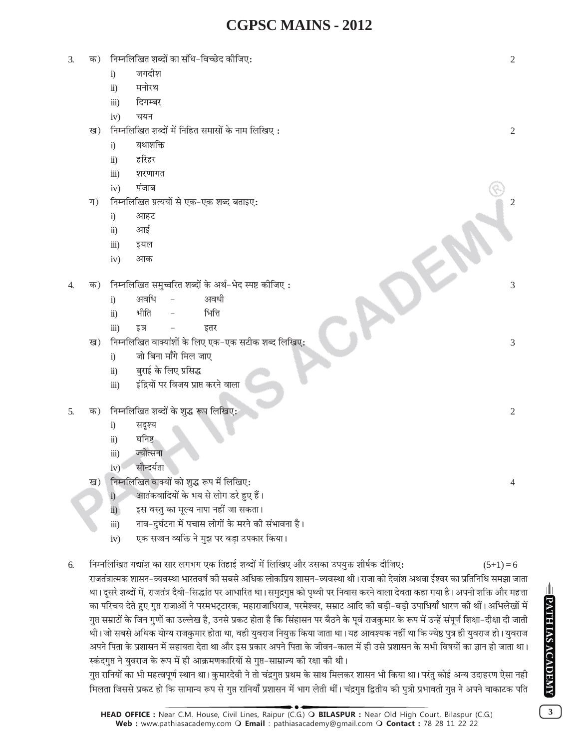| 3.<br>क) |       | निम्नलिखित शब्दों का संधि-विच्छेद कीजिए:                     | $\overline{c}$ |
|----------|-------|--------------------------------------------------------------|----------------|
|          |       | जगदीश<br>i)                                                  |                |
|          |       | मनोरथ<br>$\ddot{\textbf{i}}$                                 |                |
|          |       | दिगम्बर<br>$\dddot{\text{iii}})$                             |                |
|          |       | चयन<br>iv)                                                   |                |
|          | ख)    | निम्नलिखित शब्दों में निहित समासों के नाम लिखिए:             | $\overline{2}$ |
|          |       | यथाशक्ति<br>i)                                               |                |
|          |       | हरिहर<br>$\ddot{\textbf{i}}$                                 |                |
|          |       | $\dddot{\text{iii}})$<br>शरणागत                              |                |
|          |       | पंजाब<br>iv)                                                 |                |
|          | $\Pi$ | निम्नलिखित प्रत्ययों से एक-एक शब्द बताइए:                    | $\overline{c}$ |
|          |       | आहट<br>i)                                                    |                |
|          |       | आई<br>$\ddot{\textbf{i}}$                                    |                |
|          |       | $\dddot{\text{iii}})$<br>इयल                                 |                |
|          |       | iv)<br>आक                                                    |                |
|          |       |                                                              |                |
| 4.       | क)    | निम्नलिखित समुच्चरित शब्दों के अर्थ-भेद स्पष्ट कीजिए:        | 3              |
|          |       | अवधि<br>अवधी<br>i)                                           |                |
|          |       | भीति<br>भित्ति<br>$\ddot{1}$                                 |                |
|          |       | $\dddot{\text{iii}})$<br>इतर<br>इत्र                         |                |
|          | ख)    | निम्नलिखित वाक्यांशों के लिए एक-एक सटीक शब्द लिखिए:          | 3              |
|          |       | जो बिना माँगे मिल जाए<br>i)                                  |                |
|          |       | बुराई के लिए प्रसिद्ध<br>$\ddot{\textbf{i}}$                 |                |
|          |       | इंद्रियों पर विजय प्राप्त करने वाला<br>$\dddot{\text{iii}})$ |                |
| 5.       | क)    | निम्नलिखित शब्दों के शुद्ध रूप लिखिए:                        | $\overline{2}$ |
|          |       | सदृश्य<br>i)                                                 |                |
|          |       | घनिष्ट<br>$\ddot{\textbf{i}}$                                |                |
|          |       | ज्योत्सना<br>$\dddot{\text{iii}})$                           |                |
|          |       | सौन्दर्यता<br>iv)                                            |                |
|          | ख)    | निम्नलिखित वाक्यों को शुद्ध रूप में लिखिए:                   | $\overline{4}$ |
|          |       | आतंकवादियों के भय से लोग डरे हुए हैं।<br>i)                  |                |
|          |       | इस वस्त का मल्य नापा नहीं जा सकता।<br>$\dddot{\mathbf{n}}$   |                |

- नाव-दर्घटना में पचास लोगों के मरने की संभावना है।  $\dddot{\mathbf{m}}$
- एक सज्जन व्यक्ति ने मुझ पर बड़ा उपकार किया।  $iv)$
- निम्नलिखित गद्यांश का सार लगभग एक तिहाई शब्दों में लिखिए और उसका उपयुक्त शीर्षक दीजिए: 6.

राजतंत्रात्मक शासन-व्यवस्था भारतवर्ष की सबसे अधिक लोकप्रिय शासन-व्यवस्था थी। राजा को देवांश अथवा ईश्वर का प्रतिनिधि समझा जाता था। दूसरे शब्दों में, राजतंत्र दैवी-सिद्धांत पर आधारित था। समुद्रगुप्त को पृथ्वी पर निवास करने वाला देवता कहा गया है। अपनी शक्ति और महत्ता का परिचय देते हुए गुप्त राजाओं ने परमभट्टारक, महाराजाधिराज, परमेश्वर, सम्राट आदि की बड़ी-बड़ी उपाधियाँ धारण की थीं। अभिलेखों में गुप्त सम्राटों के जिन गुणों का उल्लेख है, उनसे प्रकट होता है कि सिंहासन पर बैठने के पूर्व राजकुमार के रूप में उन्हें संपूर्ण शिक्षा–दीक्षा दी जाती थी। जो सबसे अधिक योग्य राजकुमार होता था, वही युवराज नियुक्त किया जाता था। यह आवश्यक नहीं था कि ज्येष्ठ पुत्र ही युवराज हो। युवराज अपने पिता के प्रशासन में सहायता देता था और इस प्रकार अपने पिता के जीवन–काल में ही उसे प्रशासन के सभी विषयों का ज्ञान हो जाता था। स्कंदगुप्त ने युवराज के रूप में ही आक्रमणकारियों से गुप्त-साम्राज्य की रक्षा की थी।

गृप्त रानियों का भी महत्वपूर्ण स्थान था। कुमारदेवी ने तो चंद्रगुप्त प्रथम के साथ मिलकर शासन भी किया था। परंतु कोई अन्य उदाहरण ऐसा नही मिलता जिससे प्रकट हो कि सामान्य रूप से गुप्त रानियाँ प्रशासन में भाग लेती थीं। चंद्रगुप्त द्वितीय की पुत्री प्रभावती गुप्त ने अपने वाकाटक पति

 $(5+1)=6$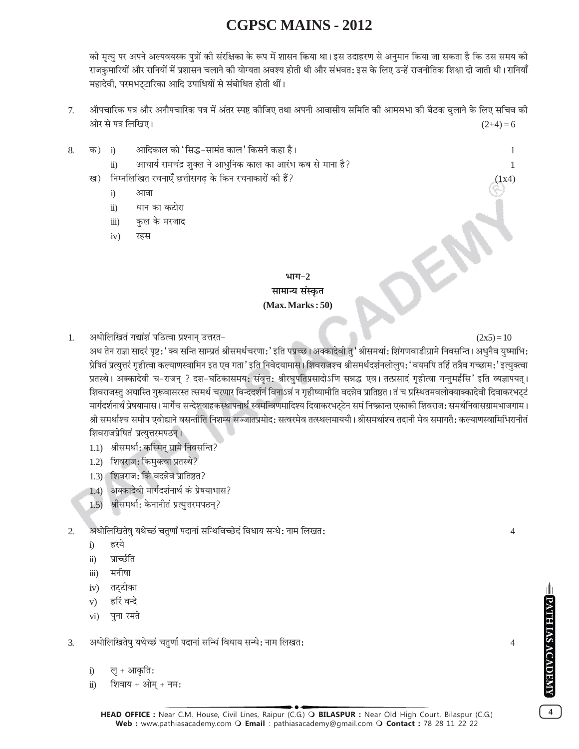की मृत्यु पर अपने अल्पवयस्क पुत्रों की संरक्षिका के रूप में शासन किया था। इस उदाहरण से अनुमान किया जा सकता है कि उस समय की राजकुमारियों और रानियों में प्रशासन चलाने की योग्यता अवश्य होती थी और संभवत: इस के लिए उन्हें राजनीतिक शिक्षा दी जाती थी। रानियाँ महादेवी, परमभट्टारिका आदि उपाधियों से संबोधित होती थीं।

- औपचारिक पत्र और अनौपचारिक पत्र में अंतर स्पष्ट कीजिए तथा अपनी आवासीय समिति की आमसभा की बैठक बलाने के लिए सचिव की  $7.$ ओर से पत्र लिखिए।  $(2+4)=6$
- आदिकाल को 'सिद्ध-सामंत काल' किसने कहा है। 8. क)  $\mathbf{i}$ 
	- आचार्य रामचंद्र शुक्ल ने आधुनिक काल का आरंभ कब से माना है?  $\ddot{u}$ )
	- निम्नलिखित रचनाएँ छत्तीसगढ के किन रचनाकारों की हैं? ख)
		- आवा  $i)$
		- धान का कटोरा  $\ddot{u}$
		- कुल के मरजाद  $\dddot{\mathbf{m}}$
		- रहस  $iv)$

### भाग $-2$ सामान्य संस्कृत  $(Max. Marks:50)$

 $1.$ अधोलिखितं गद्यांशं पठित्वा प्रश्नान् उत्तरत-

 $(2x5)=10$ 

 $\overline{4}$ 

 $\overline{4}$ 

 $\mathbf{1}$ 

 $(1x4)$ 

अथ तेन राज्ञा सादरं पृष्ट:'क्व सन्ति साम्प्रतं श्रीसमर्थचरणा:'इति पप्रच्छ। अक्कादेवी तु' श्रीसमर्था: शिंगणवाडीग्रामे निवसन्ति । अधनैव युष्माभि: प्रेषितं प्रत्युत्तरं गृहीत्वा कल्याणस्वामिन इत एव गता' इति निवेदयामास। शिवराजश्च श्रीसमर्थदर्शनलोलुप:'वयमपि तर्हि तत्रैव गच्छाम:'इत्युक्त्वा प्रतस्थे। अक्कादेवी च-राजन् ? दश-घटिकासमय: संवृत्त: श्रीरघुपतिप्रसादोऽणि सन्नद्ध एव। तत्प्रसादं गृहीत्वा गन्तुमर्हसि' इति व्यज्ञापयत्। शिवराजस्त अघास्ति गरूवासरस्त त्समर्थ चरणार विन्ददर्शनं विनाऽन्नं न गहीष्यामीति वदन्नेव प्रातिष्ठत । तं च प्रस्थितमवलोक्याक्कादेवी दिवाकरभटटं मार्गदर्शनार्थं प्रेषयामास । मार्गेच सन्देशवाहकस्थापनार्थं स्वमन्त्रिणमादिश्य दिवाकरभट्टेन समं निष्क्रान्त एकाको शिवराज: समर्थनिवासग्रामभाजगाम । श्री समर्थाश्च समीप एवोद्याने वसन्तीति निशम्य सञ्जातप्रमोद: सत्वरमेव तत्स्थलमाययौ। श्रीसमर्थाश्च तदानी मेव समागतै: कल्याणस्वामिभिरानीतं शिवराजप्रेषितं प्रत्युत्तरमपठन् ।

- 1.1) श्रीसमर्था: कस्मिन् ग्रामे निवसन्ति?
- 1.2) शिवराज: किमुक्त्वा प्रतस्थे?
- 1.3) शिवराज: किं वदन्नेव प्रातिष्ठत?
- 1.4) अक्कादेवी मार्गदर्शनार्थं कं प्रेषयाभास?
- 1.5) श्रीसमर्था: केनानीतं प्रत्युत्तरमपठन?

अधोलिखितेषु यथेच्छं चतुर्णां पदानां सन्धिविच्छेदं विधाय सन्धे: नाम लिखत:  $\mathcal{D}_{\alpha}$ 

- $i)$ हरये
- प्राच्छति  $\ddot{\mathbf{n}}$ )
- मनीषा  $\dddot{\mathbf{u}}$
- तट्टीका  $iv)$
- हरिं वन्दे  $V)$
- पना रमते  $\overline{vi}$
- अधोलिखितेषु यथेच्छं चतुर्णां पदानां सन्धिं विधाय सन्धे: नाम लिखत:  $\mathcal{F}$ 
	- लु + आकृति:  $i)$
	- शिवाय + ओम + नम:  $\dddot{\mathbf{n}}$

**ATH IAS ACADEMY** 

 $\overline{\mathbf{4}}$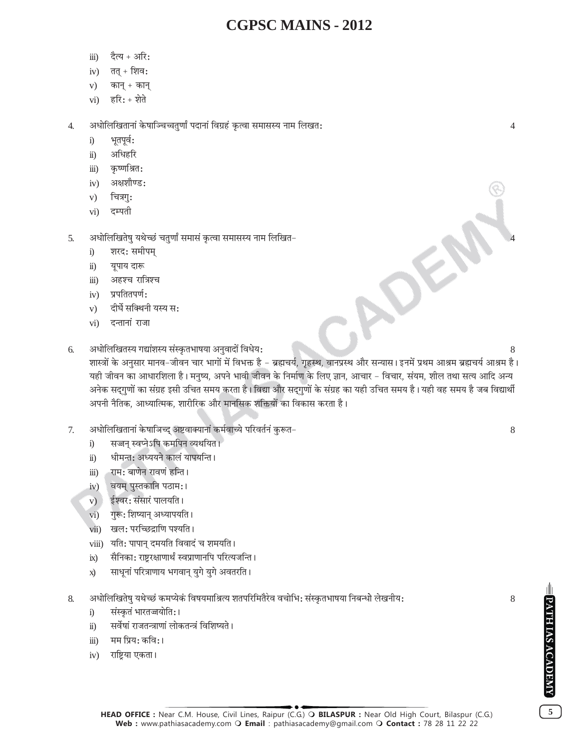- दैत्य + अरि:  $\dddot{\mathbf{m}}$ )
- तत् + शिव:  $iv)$
- कान् + कान्  $V)$
- हरि $:$  + शेते  $\overline{vi}$ )

अधोलिखितानां केषाञ्चिच्चतुर्णां पदानां विग्रहं कृत्वा समासस्य नाम लिखत:  $\overline{4}$ .

- भूतपूर्व:  $i)$
- अधिहरि  $\ddot{\mathbf{n}}$ )
- कृष्णश्रित:  $\dddot{\mathbf{u}}$
- अक्षशौण्ड:  $iv)$
- चित्रगुः  $V)$
- दम्पती  $\overline{vi}$
- अधोलिखितेषु यथेच्छं चतुर्णां समासं कृत्वा समासस्य नाम लिखित- $\overline{5}$ .
	- शरद: समीपम  $\ddot{1}$
	- यूपाय दारू  $\ddot{\textbf{i}}$
	- $\dddot{\mathbf{i}}$ अहश्च रात्रिश्च
	- प्रपतितपर्ण:  $iv)$
	- दीर्घे सक्थिनी यस्य स:  $V)$
	- $\overline{vi}$ दन्तानां राजा
- अधोलिखितस्य गद्यांशस्य संस्कृतभाषया अनुवादों विधेय: 6.

शास्त्रों के अनुसार मानव–जीवन चार भागों में विभक्त है – ब्रह्मचर्य, गृहस्थ, वानप्रस्थ और सन्यास। इनमें प्रथम आश्रम ब्रह्मचर्य आश्रम है। यही जीवन का आधारशिला है। मनुष्य, अपने भावी जीवन के निर्माण के लिए ज्ञान, आचार – विचार, संयम, शील तथा सत्य आदि अन्य अनेक सद्गुणों का संग्रह इसी उचित समय करता है। विद्या और सद्गुणों के संग्रह का यही उचित समय है। यही वह समय है जब विद्यार्थी अपनी नैतिक, आध्यात्मिक, शारीरिक और मानसिक शक्तियों का विकास करता है।

ADE

- अधोलिखितानां केषाञिच्द् अष्टवाक्यानां कर्मवाच्ये परिवर्तनं कुरूत- $7<sub>1</sub>$ 
	- सज्जन स्वप्नेऽपि कमपिन व्यथयित।  $i)$
	- धीमन्त: अध्ययने कालं यापयन्ति ।  $\ddot{\mathbf{n}}$ )
	- राम: बाणेन रावणं हन्ति ।  $\dddot{\mathbf{i}}$
	- वयम् पुस्तकानि पठाम:।  $iv)$
	- ईश्वर: संसारं पालयति ।  $V)$
	- गुरू: शिष्यान् अध्यापयति ।  $\overline{vi}$ )
	- खल: परच्छिद्राणि पश्यति ।  $vii)$
	- viii) यति: पापान् दमयति विवादं च शमयति ।
	- सैनिका: राष्ट्ररक्षाणार्थं स्वप्राणानपि परित्यजन्ति ।  $ix)$
	- साधूनां परित्राणाय भगवान् युगे युगे अवतरति ।  $\vec{x}$
- अधोलिखितेषु यथेच्छं कमप्येकं विषयमाश्रित्य शतपरिमितैरेव वचोभि: संस्कृतभाषया निबन्धो लेखनीय: 8.
	- संस्कृतं भारतज्जयोति:।  $i)$
	- सर्वेषां राजतन्त्राणां लोकतन्त्रं विशिष्यते ।  $\ddot{u}$ )
	- मम प्रिय: कवि:।  $\dddot{\mathbf{m}}$ )
	- राष्ट्रिया एकता।  $iv)$

 $\overline{4}$ 

8

8

 $\overline{5}$ 

PATH IAS ACADEMY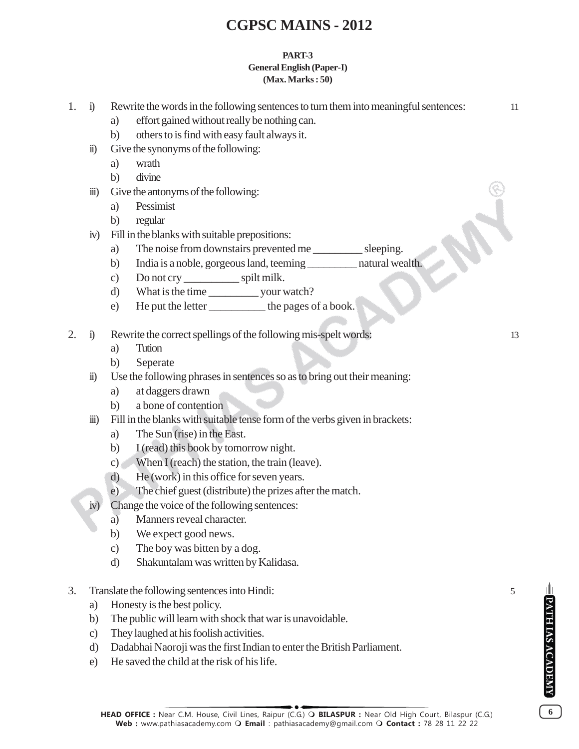#### **PART-3 General English (Paper-I) (Max. Marks : 50)**

| 1. | $\ddot{1}$            | Rewrite the words in the following sentences to turn them into meaningful sentences:<br>effort gained without really be nothing can.<br>a)<br>others to is find with easy fault always it.<br>b) | 11 |  |  |  |
|----|-----------------------|--------------------------------------------------------------------------------------------------------------------------------------------------------------------------------------------------|----|--|--|--|
|    | $\ddot{\textbf{i}}$   | Give the synonyms of the following:                                                                                                                                                              |    |  |  |  |
|    |                       | wrath<br>a)                                                                                                                                                                                      |    |  |  |  |
|    |                       | divine<br>b)                                                                                                                                                                                     |    |  |  |  |
|    | $\dddot{\mathbf{m}})$ | Give the antonyms of the following:                                                                                                                                                              |    |  |  |  |
|    |                       | Pessimist<br>a)                                                                                                                                                                                  |    |  |  |  |
|    |                       | b)<br>regular                                                                                                                                                                                    |    |  |  |  |
|    | iv)                   | Fill in the blanks with suitable prepositions:                                                                                                                                                   |    |  |  |  |
|    |                       | The noise from downstairs prevented me _____________ sleeping.<br>a)                                                                                                                             |    |  |  |  |
|    |                       | India is a noble, gorgeous land, teeming ____________ natural wealth.<br>b)                                                                                                                      |    |  |  |  |
|    |                       | Do not cry ________________ spilt milk.<br>c)                                                                                                                                                    |    |  |  |  |
|    |                       | d)                                                                                                                                                                                               |    |  |  |  |
|    |                       | He put the letter ____________ the pages of a book.<br>e)                                                                                                                                        |    |  |  |  |
| 2. | $\ddot{1}$            | Rewrite the correct spellings of the following mis-spelt words:                                                                                                                                  | 13 |  |  |  |
|    |                       | Tution<br>a)                                                                                                                                                                                     |    |  |  |  |
|    |                       | Seperate<br>b)                                                                                                                                                                                   |    |  |  |  |
|    | $\ddot{\mathbf{n}}$ ) | Use the following phrases in sentences so as to bring out their meaning:                                                                                                                         |    |  |  |  |
|    |                       | at daggers drawn<br>a)                                                                                                                                                                           |    |  |  |  |
|    |                       | a bone of contention<br>b)                                                                                                                                                                       |    |  |  |  |
|    | $\dddot{\mathbf{m}})$ | Fill in the blanks with suitable tense form of the verbs given in brackets:                                                                                                                      |    |  |  |  |
|    |                       | The Sun (rise) in the East.<br>a)                                                                                                                                                                |    |  |  |  |
|    |                       | I (read) this book by tomorrow night.<br>b)                                                                                                                                                      |    |  |  |  |
|    |                       | When I (reach) the station, the train (leave).<br>$\mathbf{c})$                                                                                                                                  |    |  |  |  |
|    |                       | He (work) in this office for seven years.<br>$\mathbf{d}$                                                                                                                                        |    |  |  |  |
|    |                       | The chief guest (distribute) the prizes after the match.<br>e)                                                                                                                                   |    |  |  |  |
|    | iv)                   | Change the voice of the following sentences:                                                                                                                                                     |    |  |  |  |
|    |                       | Manners reveal character.<br>a)                                                                                                                                                                  |    |  |  |  |
|    |                       | b)<br>We expect good news.                                                                                                                                                                       |    |  |  |  |
|    |                       | The boy was bitten by a dog.<br>$\mathbf{c})$                                                                                                                                                    |    |  |  |  |
|    |                       | Shakuntalam was written by Kalidasa.<br>$\rm d$                                                                                                                                                  |    |  |  |  |
| 3. |                       | Translate the following sentences into Hindi:                                                                                                                                                    | 5  |  |  |  |
|    | a)                    | Honesty is the best policy.                                                                                                                                                                      |    |  |  |  |
|    | b)                    | The public will learn with shock that war is unavoidable.                                                                                                                                        |    |  |  |  |
|    |                       | فلنحفظ والملاحظ وفاجا والمساوي والمستحل وجوالات                                                                                                                                                  |    |  |  |  |

- c) They laughed at his foolish activities.
- d) Dadabhai Naoroji was the first Indian to enter the British Parliament.
- e) He saved the child at the risk of his life.

**EPATH IAS ACADEMY**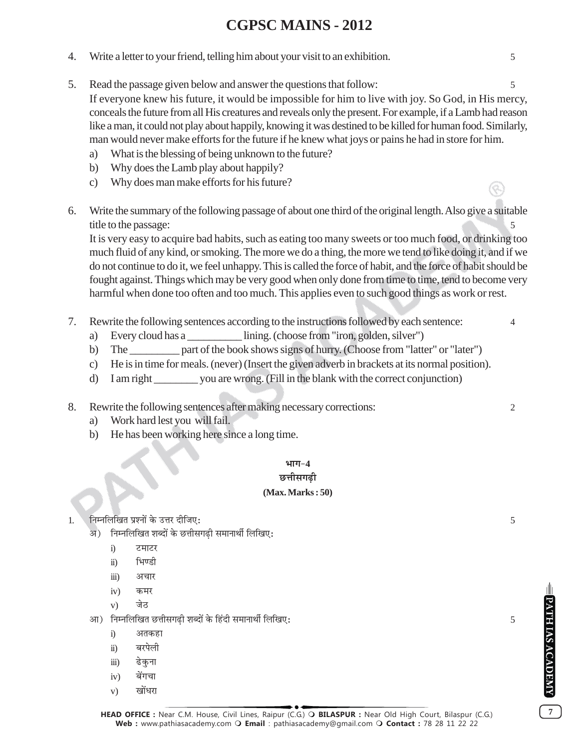- 4. Write a letter to your friend, telling him about your visit to an exhibition. 5
- 5. Read the passage given below and answer the questions that follow: 5 If everyone knew his future, it would be impossible for him to live with joy. So God, in His mercy, conceals the future from all His creatures and reveals only the present. For example, if a Lamb had reason like a man, it could not play about happily, knowing it was destined to be killed for human food. Similarly, man would never make efforts for the future if he knew what joys or pains he had in store for him.
	- a) What is the blessing of being unknown to the future?
	- b) Why does the Lamb play about happily?
	- c) Why does man make efforts for his future?
- 6. Write the summary of the following passage of about one third of the original length. Also give a suitable title to the passage:

It is very easy to acquire bad habits, such as eating too many sweets or too much food, or drinking too much fluid of any kind, or smoking. The more we do a thing, the more we tend to like doing it, and if we do not continue to do it, we feel unhappy. This is called the force of habit, and the force of habit should be fought against. Things which may be very good when only done from time to time, tend to become very harmful when done too often and too much. This applies even to such good things as work or rest.

- 7. Rewrite the following sentences according to the instructions followed by each sentence: 4
	- a) Every cloud has a \_\_\_\_\_\_\_\_\_\_ lining. (choose from "iron, golden, silver")
	- b) The part of the book shows signs of hurry. (Choose from "latter" or "later")
	- c) He is in time for meals. (never) (Insert the given adverb in brackets at its normal position).
	- d) I am right \_\_\_\_\_\_\_\_ you are wrong. (Fill in the blank with the correct conjunction)
- 8. Rewrite the following sentences after making necessary corrections: 2
	- a) Work hard lest you will fail.
	- b) He has been working here since a long time.

### $4\pi\pi - 4$

### छत्तीसगढी

### **(Max. Marks : 50)**

1. ÁŸêŸÁ‹Áπà ¬˝‡ŸÊ¥ ∑§ ©UûÊ⁄U ŒËÁ¡∞— 5

- अ) निम्नलिखित शब्दों के छत्तीसगढी समानार्थी लिखिए:
	- i) टमाटर
	- ii) भिण्डी
	- iii) अचार
	- iv) कमर
	- v) जेठ
- •Ê) ÁŸêŸÁ‹Áπà ¿UûÊË'ª…∏UË ‡ÊéŒÊ¥ ∑§ Á"¥UŒË '◊ÊŸÊÕ˸ Á‹Áπ∞— 5
	- i) अतकहा
	- ii) बरपेली
	- iii) ढेकना
	- iv) बेंगचा
	- $\mathbf{v}$ ) खोंधरा

**HEAD OFFICE :** Near C.M. House, Civil Lines, Raipur (C.G.) **BILASPUR :** Near Old High Court, Bilaspur (C.G.) **Web :** www.pathiasacademy.com **Email** : pathiasacademy@gmail.com **Contact :** 78 28 11 22 22

**PATH IAS ACADEMY**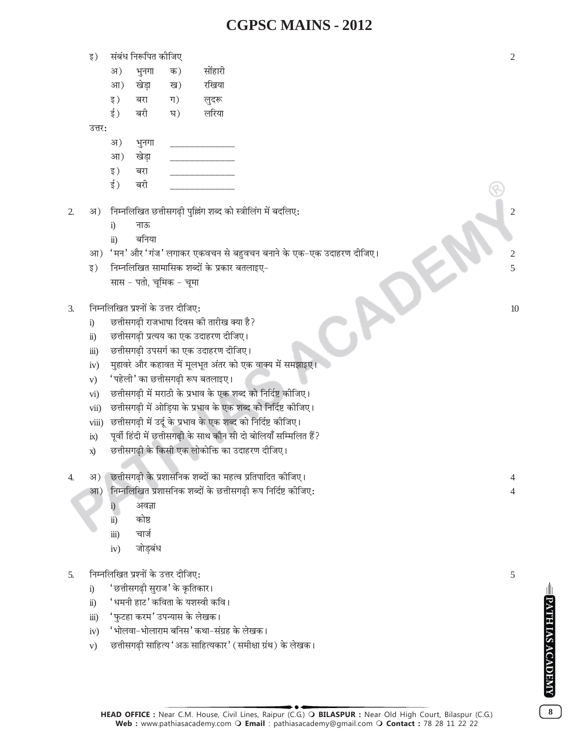- संबंध निरूपित कीजिए इ)
	- सोंहारी अ) भूनगा क) खेडा रखिया आ) ख) इ) बरा ग) लुदरू
	- र्ड ) बरी घ) लरिया

उत्तर:

- अ) भुनगा
- खेडा आ)
- बरा इ)
- ई ) बरी
- निम्नलिखित छत्तीसगढी पुल्लिंग शब्द को स्त्रीलिंग में बदलिए:  $\overline{2}$ . अ)
	- नाऊ  $\ddot{1}$
	- बनिया  $\ddot{11}$
	- आ) 'मन' और 'गंज' लगाकर एकवचन से बहुवचन बनाने के एक–एक उदाहरण दीजिए।
	- निम्नलिखित सामासिक शब्दों के प्रकार बतलाइए– इ) सास - पतो. चमिक - चमा
- निम्नलिखित प्रश्नों के उत्तर दीजिए:  $\overline{3}$ .
	- छत्तीसगढी राजभाषा दिवस की तारीख क्या है?  $i)$
	- छत्तीसगढी प्रत्यय का एक उदाहरण दीजिए।  $\ddot{\mathbf{n}}$ )
	- छत्तीसगढी उपसर्ग का एक उदाहरण दीजिए।  $\dddot{\mathbf{u}}$
	- मुहावरे और कहावत में मूलभूत अंतर को एक वाक्य में समझाइए।  $iv)$
	- 'पहेली' का छत्तीसगढ़ी रूप बतलाइए।  $V)$
	- छत्तीसगढ़ी में मराठी के प्रभाव के एक शब्द को निर्दिष्ट कीजिए।  $\overline{vi}$ )
	- छत्तीसगढी में ओडिया के प्रभाव के एक शब्द को निर्दिष्ट कीजिए।  $vii)$
	- छत्तीसगढी में उर्दू के प्रभाव के एक शब्द को निर्दिष्ट कीजिए।  $viii)$
	- पूर्वी हिंदी में छत्तीसगढी के साथ कौन सी दो बोलियाँ सम्मिलित हैं?  $ix)$
	- छत्तीसगढी के किसी एक लोकोक्ति का उदाहरण दीजिए।  $\vec{x}$
- छत्तीसगढी के प्रशासनिक शब्दों का महत्व प्रतिपादित कीजिए।  $\overline{4}$  $3I)$ 
	- निम्नलिखित प्रशासनिक शब्दों के छत्तीसगढी रूप निर्दिष्ट कीजिए:  $3\mathsf{T}$ )
		- $i)$ अवज्ञा
		- कोष्ठ  $\overline{ii}$ )
		- चार्ज iii)
		- जोडबंध  $iv)$
- निम्नलिखित प्रश्नों के उत्तर दीजिए:  $\overline{5}$ .
	- 'छत्तीसगढी सुराज' के कृतिकार।  $i)$
	- 'धमनी हाट' कविता के यशस्वी कवि।  $\ddot{\mathbf{n}}$ )
	- 'फुटहा करम' उपन्यास के लेखक।  $\dddot{\mathbf{i}}$
	- 'भोलवा-भोलाराम बनिस' कथा-संग्रह के लेखक।  $iv)$
	- छत्तीसगढ़ी साहित्य 'अऊ साहित्यकार' (समीक्षा ग्रंथ) के लेखक।  $V)$

 $\overline{4}$ 

 $\overline{4}$ 

 $\overline{2}$ 

 $\overline{2}$ 

 $\overline{2}$ 

5

10

RO

8